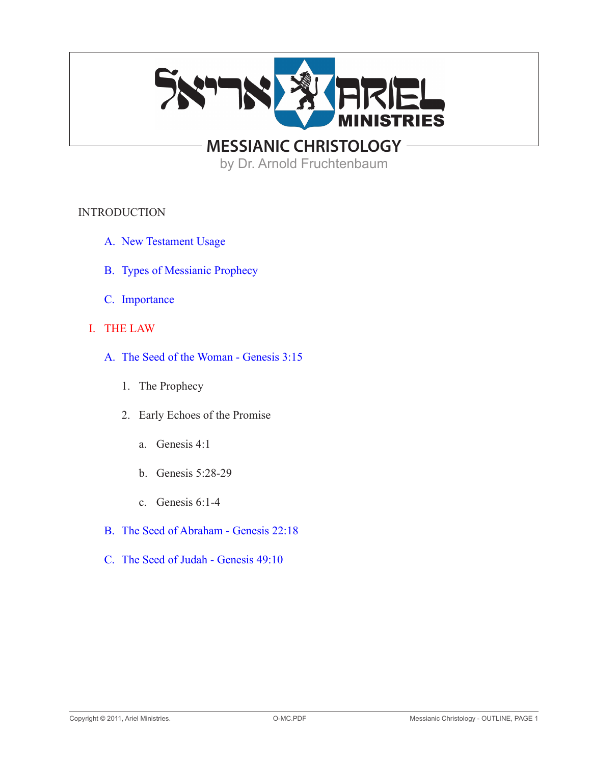

by Dr. Arnold Fruchtenbaum

## INTRODUCTION

- A. New Testament Usage
- B. Types of Messianic Prophecy
- C. Importance
- I. THE LAW
	- A. The Seed of the Woman Genesis 3:15
		- 1. The Prophecy
		- 2. Early Echoes of the Promise
			- a. Genesis 4:1
			- b. Genesis 5:28-29
			- c. Genesis 6:1-4
	- B. The Seed of Abraham Genesis 22:18
	- C. The Seed of Judah Genesis 49:10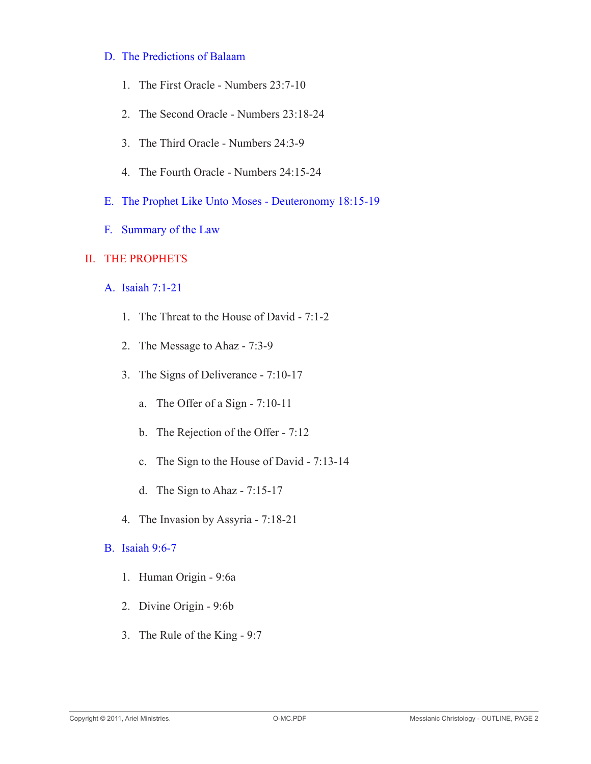#### D. The Predictions of Balaam

- 1. The First Oracle Numbers 23:7-10
- 2. The Second Oracle Numbers 23:18-24
- 3. The Third Oracle Numbers 24:3-9
- 4. The Fourth Oracle Numbers 24:15-24
- E. The Prophet Like Unto Moses Deuteronomy 18:15-19
- F. Summary of the Law

## II. THE PROPHETS

- A. Isaiah 7:1-21
	- 1. The Threat to the House of David 7:1-2
	- 2. The Message to Ahaz 7:3-9
	- 3. The Signs of Deliverance 7:10-17
		- a. The Offer of a Sign 7:10-11
		- b. The Rejection of the Offer 7:12
		- c. The Sign to the House of David 7:13-14
		- d. The Sign to Ahaz 7:15-17
	- 4. The Invasion by Assyria 7:18-21
- B. Isaiah 9:6-7
	- 1. Human Origin 9:6a
	- 2. Divine Origin 9:6b
	- 3. The Rule of the King 9:7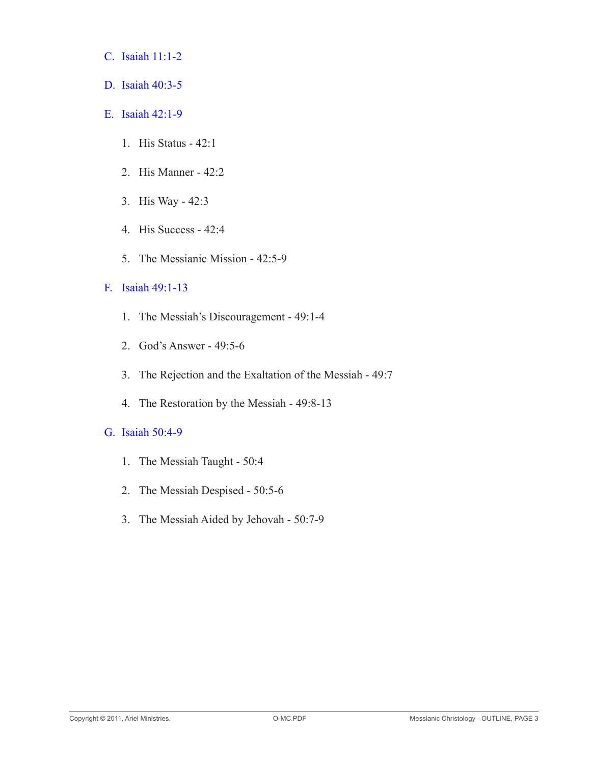- C. Isaiah 11:1-2
- D. Isaiah 40:3-5
- E. Isaiah 42:1-9
	- 1. His Status 42:1
	- 2. His Manner 42:2
	- 3. His Way 42:3
	- 4. His Success 42:4
	- 5. The Messianic Mission 42:5-9

## F. Isaiah 49:1-13

- 1. The Messiah's Discouragement 49:1-4
- 2. God's Answer 49:5-6
- 3. The Rejection and the Exaltation of the Messiah 49:7
- 4. The Restoration by the Messiah 49:8-13

#### G. Isaiah 50:4-9

- 1. The Messiah Taught 50:4
- 2. The Messiah Despised 50:5-6
- 3. The Messiah Aided by Jehovah 50:7-9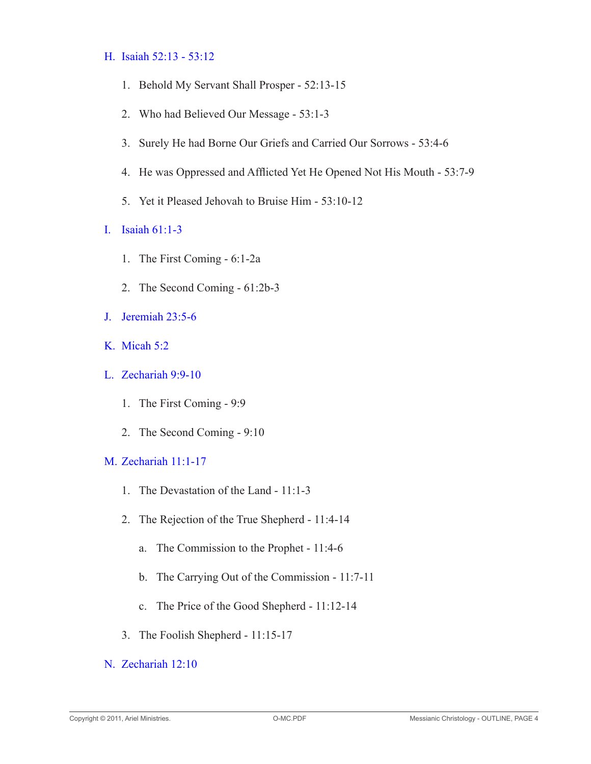## H. Isaiah 52:13 - 53:12

- 1. Behold My Servant Shall Prosper 52:13-15
- 2. Who had Believed Our Message 53:1-3
- 3. Surely He had Borne Our Griefs and Carried Our Sorrows 53:4-6
- 4. He was Oppressed and Afflicted Yet He Opened Not His Mouth 53:7-9
- 5. Yet it Pleased Jehovah to Bruise Him 53:10-12
- I. Isaiah 61:1-3
	- 1. The First Coming 6:1-2a
	- 2. The Second Coming 61:2b-3
- J. Jeremiah 23:5-6
- K. Micah 5:2
- L. Zechariah 9:9-10
	- 1. The First Coming 9:9
	- 2. The Second Coming 9:10
- M. Zechariah 11:1-17
	- 1. The Devastation of the Land 11:1-3
	- 2. The Rejection of the True Shepherd 11:4-14
		- a. The Commission to the Prophet 11:4-6
		- b. The Carrying Out of the Commission 11:7-11
		- c. The Price of the Good Shepherd 11:12-14
	- 3. The Foolish Shepherd 11:15-17
- N. Zechariah 12:10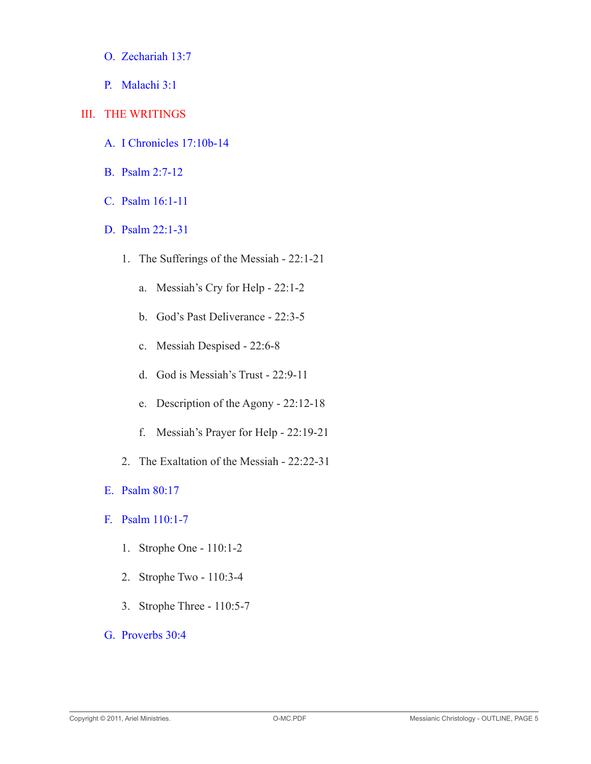- O. Zechariah 13:7
- P. Malachi 3:1
- III. THE WRITINGS
	- A. I Chronicles 17:10b-14
	- B. Psalm 2:7-12
	- C. Psalm 16:1-11
	- D. Psalm 22:1-31
		- 1. The Sufferings of the Messiah 22:1-21
			- a. Messiah's Cry for Help 22:1-2
			- b. God's Past Deliverance 22:3-5
			- c. Messiah Despised 22:6-8
			- d. God is Messiah's Trust 22:9-11
			- e. Description of the Agony 22:12-18
			- f. Messiah's Prayer for Help 22:19-21
		- 2. The Exaltation of the Messiah 22:22-31
	- E. Psalm 80:17
	- F. Psalm 110:1-7
		- 1. Strophe One 110:1-2
		- 2. Strophe Two 110:3-4
		- 3. Strophe Three 110:5-7
	- G. Proverbs 30:4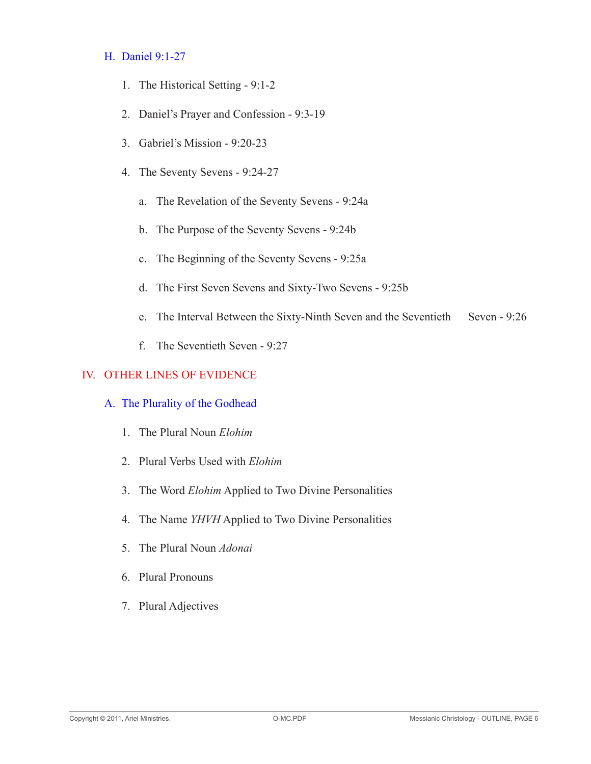#### H. Daniel 9:1-27

- 1. The Historical Setting 9:1-2
- 2. Daniel's Prayer and Confession 9:3-19
- 3. Gabriel's Mission 9:20-23
- 4. The Seventy Sevens 9:24-27
	- a. The Revelation of the Seventy Sevens 9:24a
	- b. The Purpose of the Seventy Sevens 9:24b
	- c. The Beginning of the Seventy Sevens 9:25a
	- d. The First Seven Sevens and Sixty-Two Sevens 9:25b
	- e. The Interval Between the Sixty-Ninth Seven and the Seventieth Seven 9:26
	- f. The Seventieth Seven 9:27

## IV. OTHER LINES OF EVIDENCE

## A. The Plurality of the Godhead

- 1. The Plural Noun *Elohim*
- 2. Plural Verbs Used with *Elohim*
- 3. The Word *Elohim* Applied to Two Divine Personalities
- 4. The Name *YHVH* Applied to Two Divine Personalities
- 5. The Plural Noun *Adonai*
- 6. Plural Pronouns
- 7. Plural Adjectives